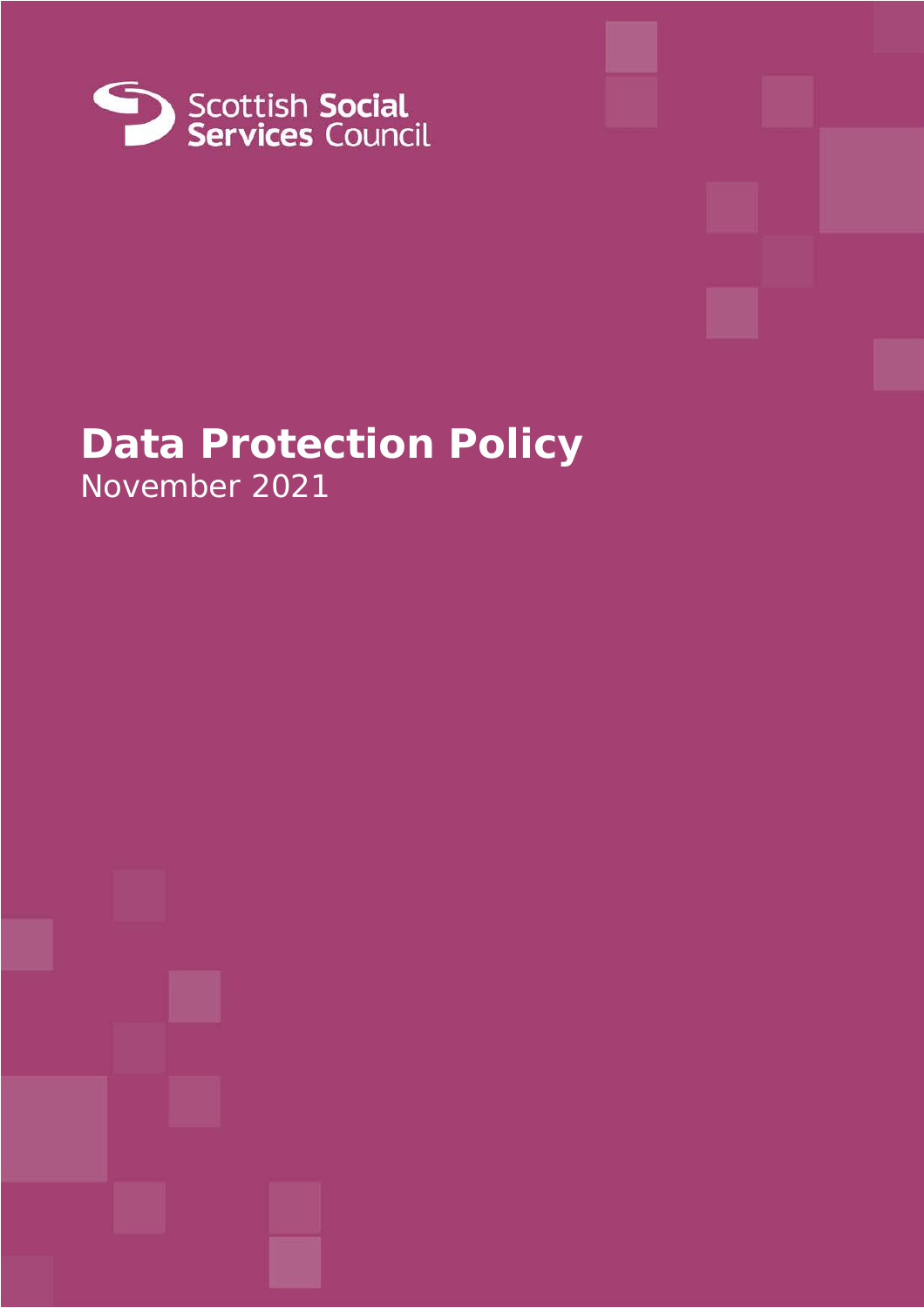

# **Data Protection Policy** November 2021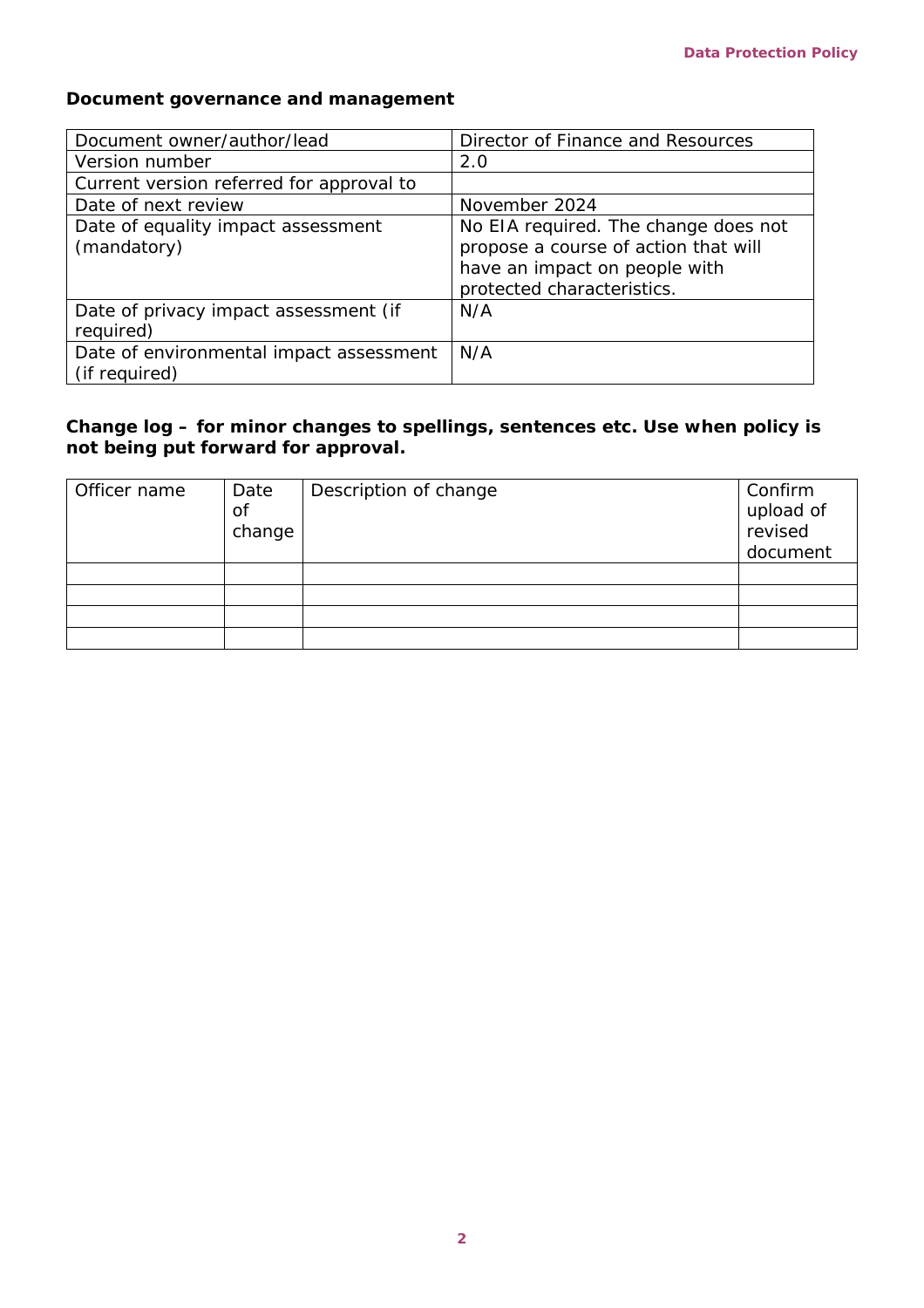### **Document governance and management**

| Document owner/author/lead                               | Director of Finance and Resources                                                                                                           |
|----------------------------------------------------------|---------------------------------------------------------------------------------------------------------------------------------------------|
| Version number                                           | 2.0                                                                                                                                         |
| Current version referred for approval to                 |                                                                                                                                             |
| Date of next review                                      | November 2024                                                                                                                               |
| Date of equality impact assessment<br>(mandatory)        | No EIA required. The change does not<br>propose a course of action that will<br>have an impact on people with<br>protected characteristics. |
| Date of privacy impact assessment (if<br>required)       | N/A                                                                                                                                         |
| Date of environmental impact assessment<br>(if required) | N/A                                                                                                                                         |

### **Change log – for minor changes to spellings, sentences etc. Use when policy is not being put forward for approval.**

| Officer name | Date<br>of<br>change | Description of change | Confirm<br>upload of<br>revised<br>document |
|--------------|----------------------|-----------------------|---------------------------------------------|
|              |                      |                       |                                             |
|              |                      |                       |                                             |
|              |                      |                       |                                             |
|              |                      |                       |                                             |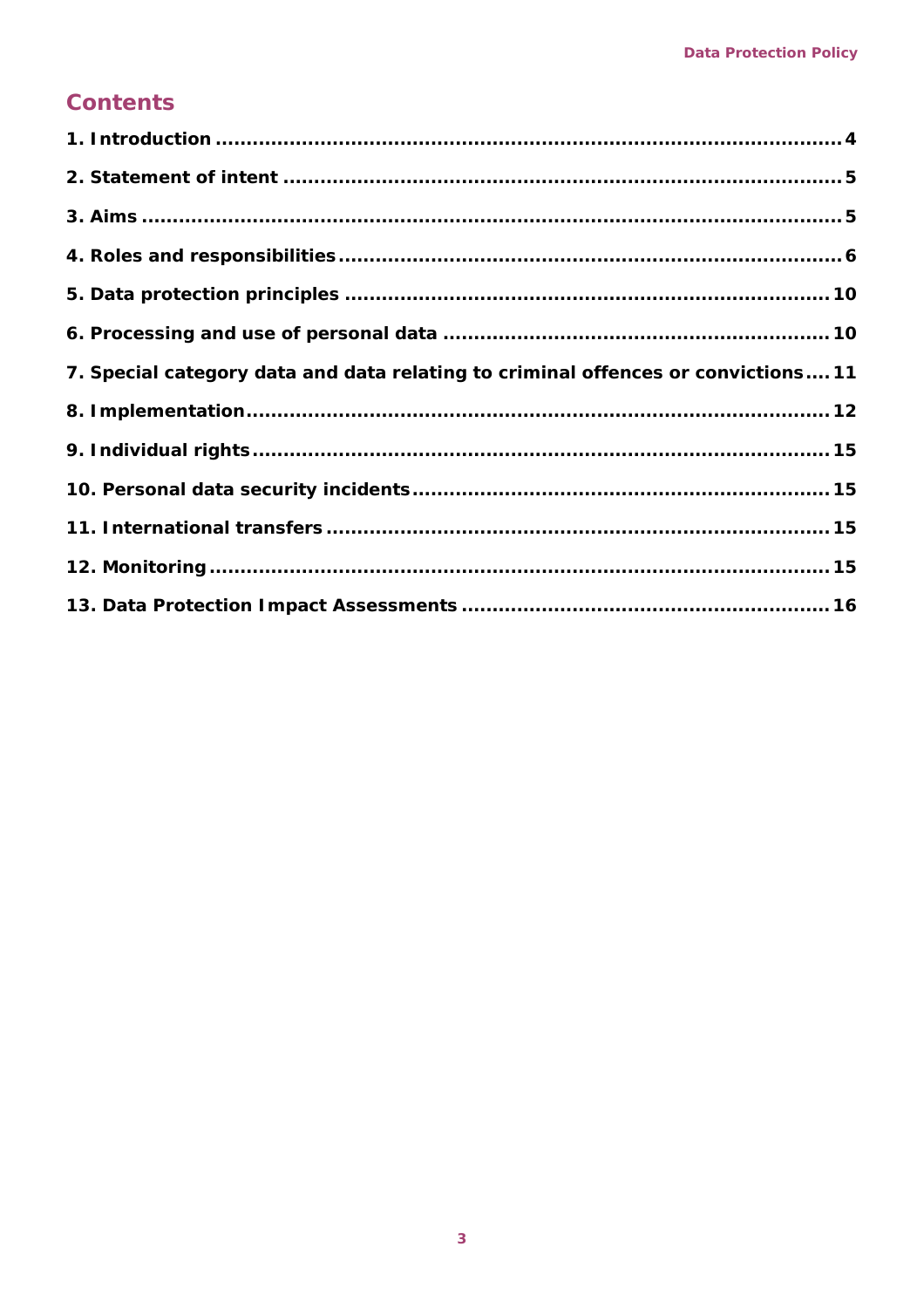### **Contents**

| 7. Special category data and data relating to criminal offences or convictions 11 |  |
|-----------------------------------------------------------------------------------|--|
|                                                                                   |  |
|                                                                                   |  |
|                                                                                   |  |
|                                                                                   |  |
|                                                                                   |  |
|                                                                                   |  |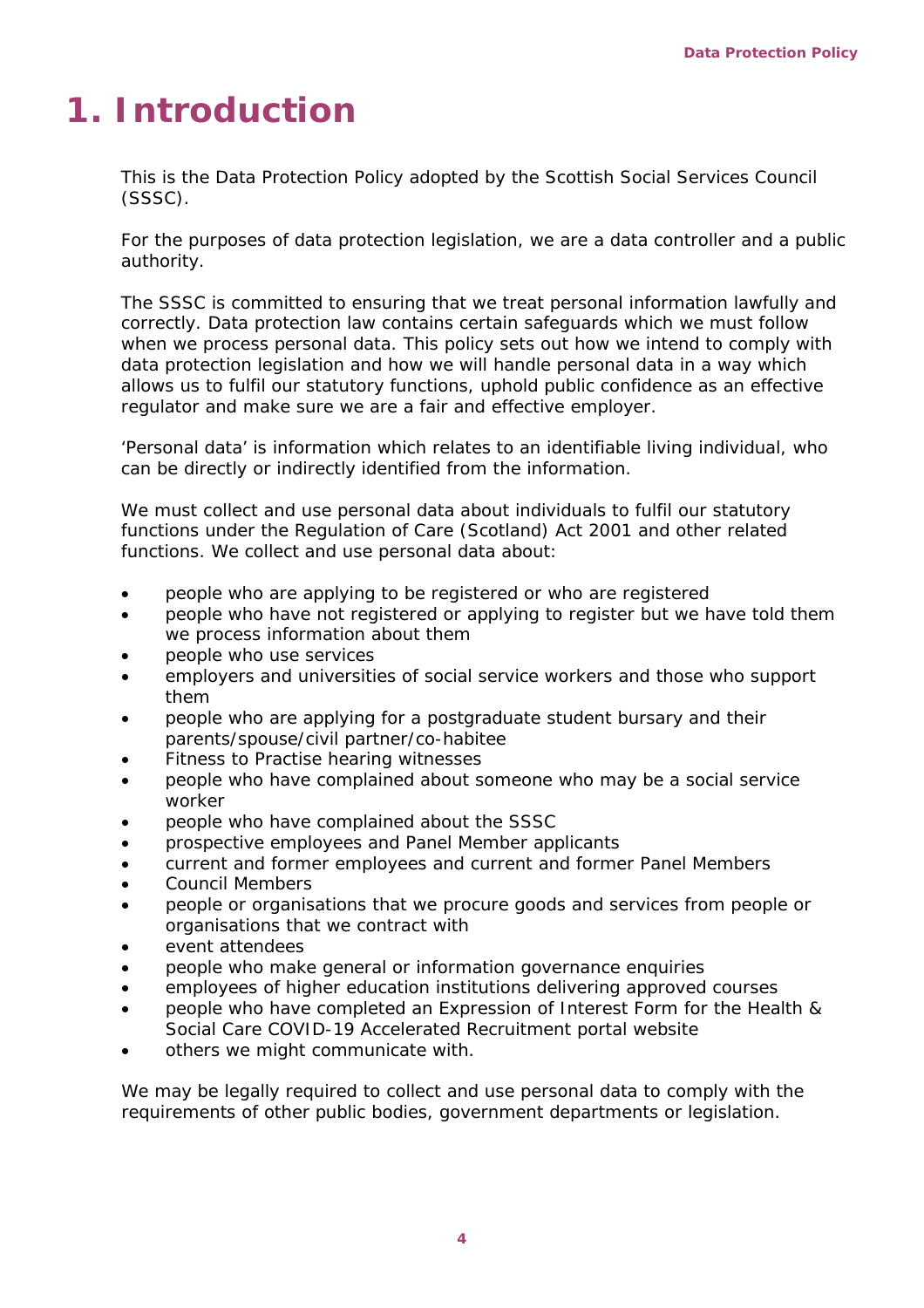# <span id="page-3-0"></span>**1. Introduction**

This is the Data Protection Policy adopted by the Scottish Social Services Council (SSSC).

For the purposes of data protection legislation, we are a data controller and a public authority.

The SSSC is committed to ensuring that we treat personal information lawfully and correctly. Data protection law contains certain safeguards which we must follow when we process personal data. This policy sets out how we intend to comply with data protection legislation and how we will handle personal data in a way which allows us to fulfil our statutory functions, uphold public confidence as an effective regulator and make sure we are a fair and effective employer.

'Personal data' is information which relates to an identifiable living individual, who can be directly or indirectly identified from the information.

We must collect and use personal data about individuals to fulfil our statutory functions under the Regulation of Care (Scotland) Act 2001 and other related functions. We collect and use personal data about:

- people who are applying to be registered or who are registered
- people who have not registered or applying to register but we have told them we process information about them
- people who use services
- employers and universities of social service workers and those who support them
- people who are applying for a postgraduate student bursary and their parents/spouse/civil partner/co-habitee
- Fitness to Practise hearing witnesses
- people who have complained about someone who may be a social service worker
- people who have complained about the SSSC
- prospective employees and Panel Member applicants
- current and former employees and current and former Panel Members
- Council Members
- people or organisations that we procure goods and services from people or organisations that we contract with
- event attendees
- people who make general or information governance enquiries
- employees of higher education institutions delivering approved courses
- people who have completed an Expression of Interest Form for the Health & Social Care COVID-19 Accelerated Recruitment portal website
- others we might communicate with.

We may be legally required to collect and use personal data to comply with the requirements of other public bodies, government departments or legislation.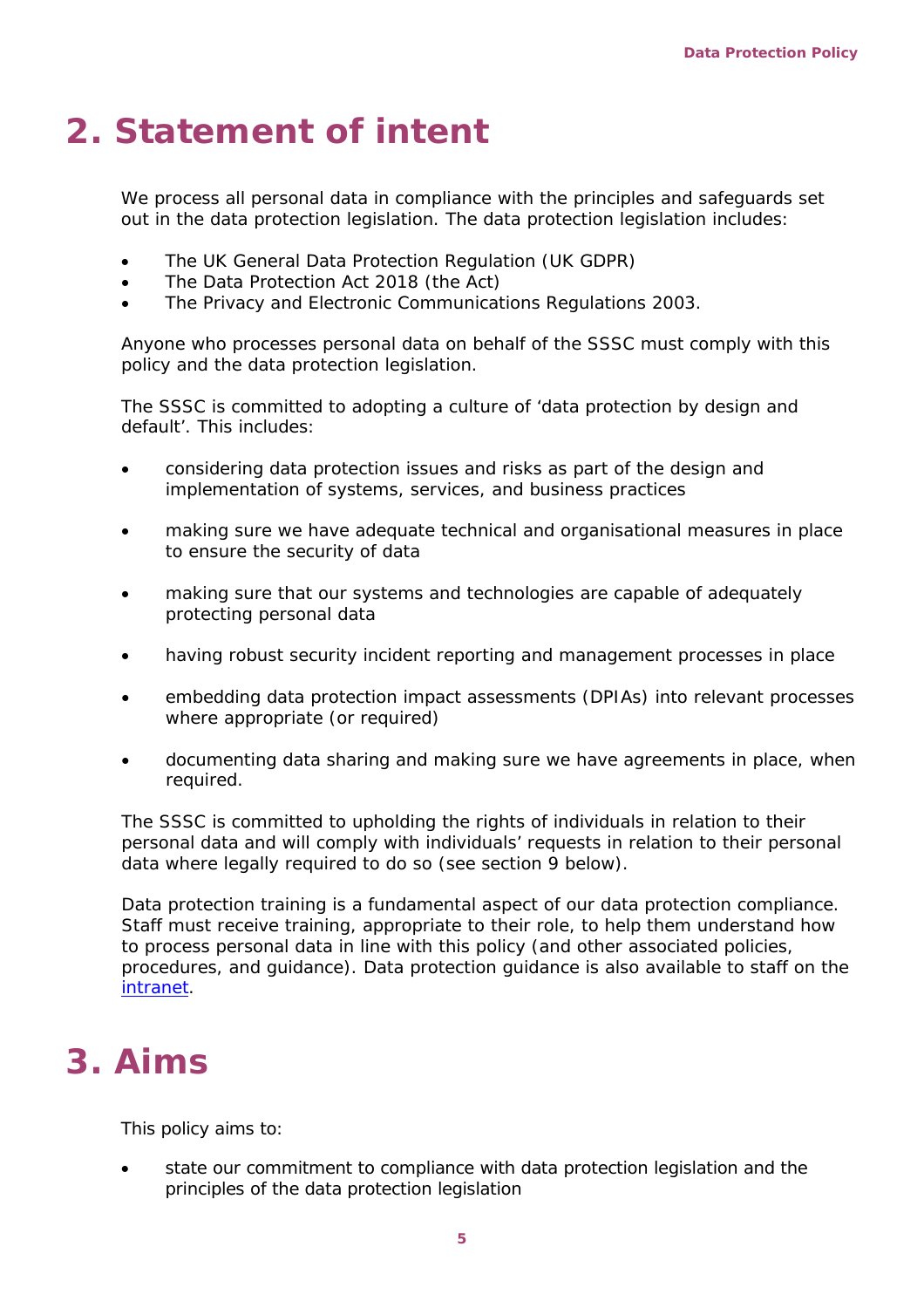# <span id="page-4-0"></span>**2. Statement of intent**

We process all personal data in compliance with the principles and safeguards set out in the data protection legislation. The data protection legislation includes:

- The UK General Data Protection Regulation (UK GDPR)
- The Data Protection Act 2018 (the Act)
- The Privacy and Electronic Communications Regulations 2003.

Anyone who processes personal data on behalf of the SSSC must comply with this policy and the data protection legislation.

The SSSC is committed to adopting a culture of 'data protection by design and default'. This includes:

- considering data protection issues and risks as part of the design and implementation of systems, services, and business practices
- making sure we have adequate technical and organisational measures in place to ensure the security of data
- making sure that our systems and technologies are capable of adequately protecting personal data
- having robust security incident reporting and management processes in place
- embedding data protection impact assessments (DPIAs) into relevant processes where appropriate (or required)
- documenting data sharing and making sure we have agreements in place, when required.

The SSSC is committed to upholding the rights of individuals in relation to their personal data and will comply with individuals' requests in relation to their personal data where legally required to do so (see section 9 below).

Data protection training is a fundamental aspect of our data protection compliance. Staff must receive training, appropriate to their role, to help them understand how to process personal data in line with this policy (and other associated policies, procedures, and guidance). Data protection guidance is also available to staff on the [intranet.](https://ssscdundee.sharepoint.com/sites/Intranet/SitePages/Information-Governance.aspx)

## <span id="page-4-1"></span>**3. Aims**

This policy aims to:

• state our commitment to compliance with data protection legislation and the principles of the data protection legislation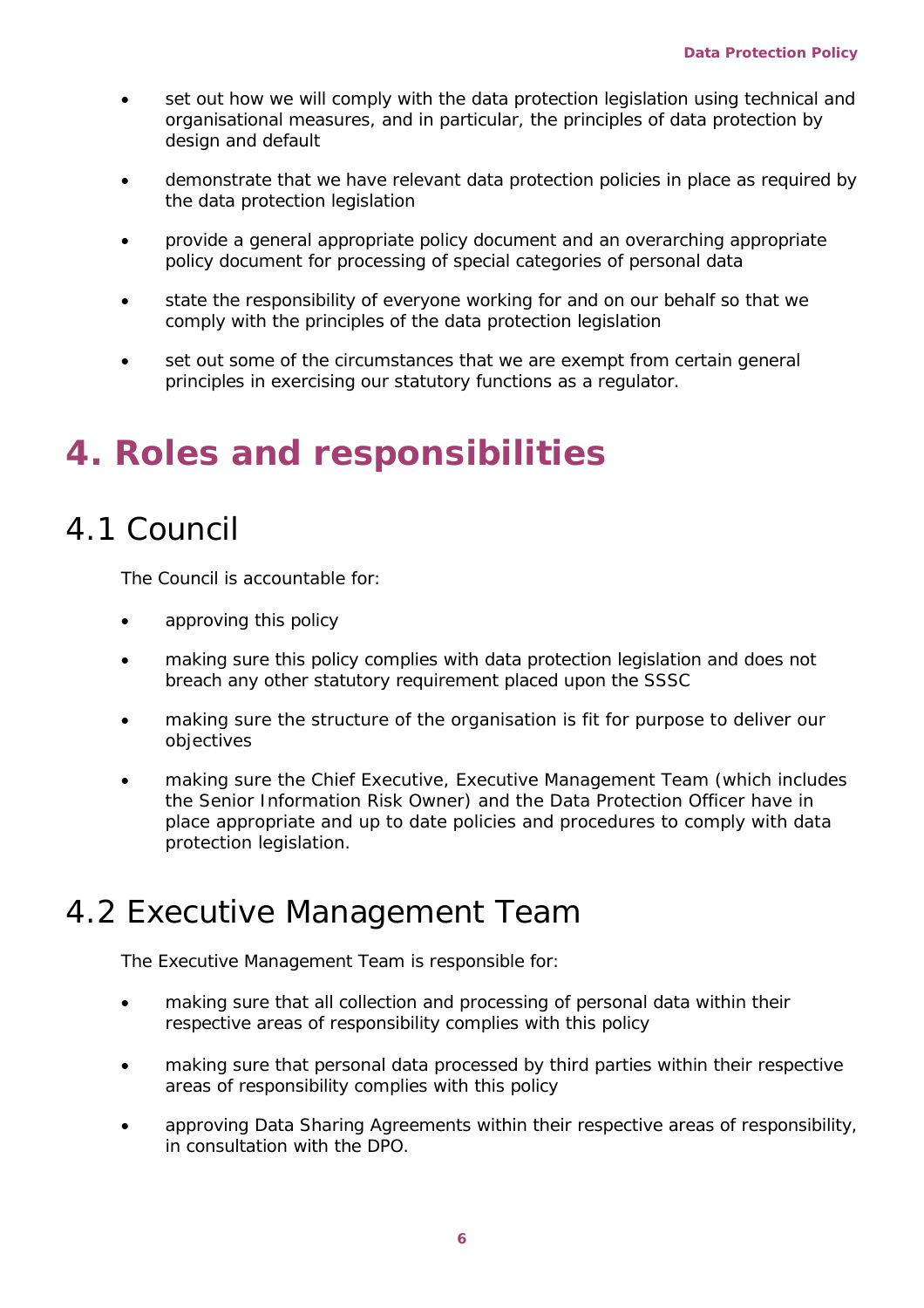- set out how we will comply with the data protection legislation using technical and organisational measures, and in particular, the principles of data protection by design and default
- demonstrate that we have relevant data protection policies in place as required by the data protection legislation
- provide a general appropriate policy document and an overarching appropriate policy document for processing of special categories of personal data
- state the responsibility of everyone working for and on our behalf so that we comply with the principles of the data protection legislation
- set out some of the circumstances that we are exempt from certain general principles in exercising our statutory functions as a regulator.

## <span id="page-5-0"></span>**4. Roles and responsibilities**

### 4.1 Council

The Council is accountable for:

- approving this policy
- making sure this policy complies with data protection legislation and does not breach any other statutory requirement placed upon the SSSC
- making sure the structure of the organisation is fit for purpose to deliver our objectives
- making sure the Chief Executive, Executive Management Team (which includes the Senior Information Risk Owner) and the Data Protection Officer have in place appropriate and up to date policies and procedures to comply with data protection legislation.

### 4.2 Executive Management Team

The Executive Management Team is responsible for:

- making sure that all collection and processing of personal data within their respective areas of responsibility complies with this policy
- making sure that personal data processed by third parties within their respective areas of responsibility complies with this policy
- approving Data Sharing Agreements within their respective areas of responsibility, in consultation with the DPO.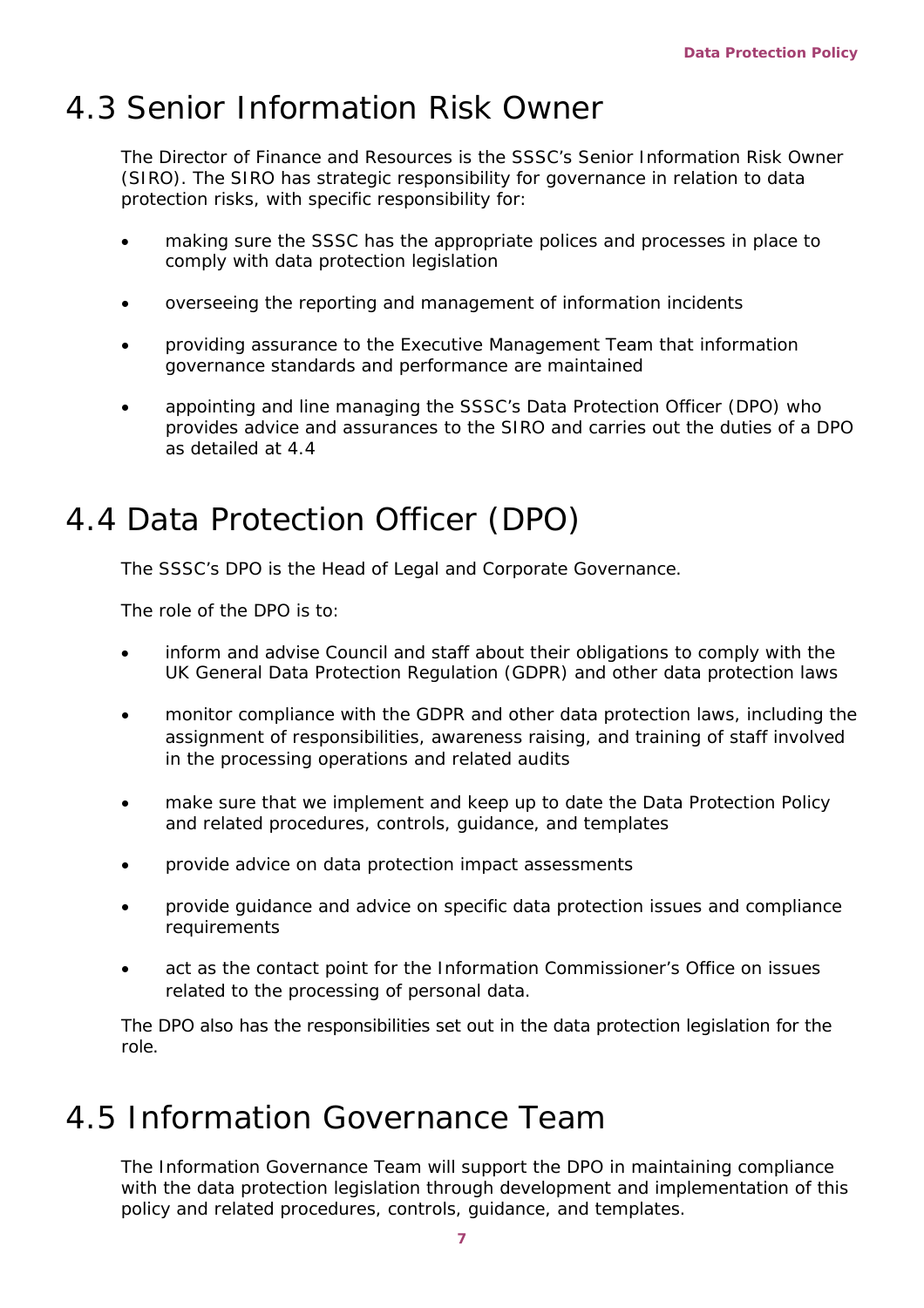### 4.3 Senior Information Risk Owner

The Director of Finance and Resources is the SSSC's Senior Information Risk Owner (SIRO). The SIRO has strategic responsibility for governance in relation to data protection risks, with specific responsibility for:

- making sure the SSSC has the appropriate polices and processes in place to comply with data protection legislation
- overseeing the reporting and management of information incidents
- providing assurance to the Executive Management Team that information governance standards and performance are maintained
- appointing and line managing the SSSC's Data Protection Officer (DPO) who provides advice and assurances to the SIRO and carries out the duties of a DPO as detailed at 4.4

### 4.4 Data Protection Officer (DPO)

The SSSC's DPO is the Head of Legal and Corporate Governance.

The role of the DPO is to:

- inform and advise Council and staff about their obligations to comply with the UK General Data Protection Regulation (GDPR) and other data protection laws
- monitor compliance with the GDPR and other data protection laws, including the assignment of responsibilities, awareness raising, and training of staff involved in the processing operations and related audits
- make sure that we implement and keep up to date the Data Protection Policy and related procedures, controls, guidance, and templates
- provide advice on data protection impact assessments
- provide guidance and advice on specific data protection issues and compliance requirements
- act as the contact point for the Information Commissioner's Office on issues related to the processing of personal data.

The DPO also has the responsibilities set out in the data protection legislation for the role.

### 4.5 Information Governance Team

The Information Governance Team will support the DPO in maintaining compliance with the data protection legislation through development and implementation of this policy and related procedures, controls, guidance, and templates.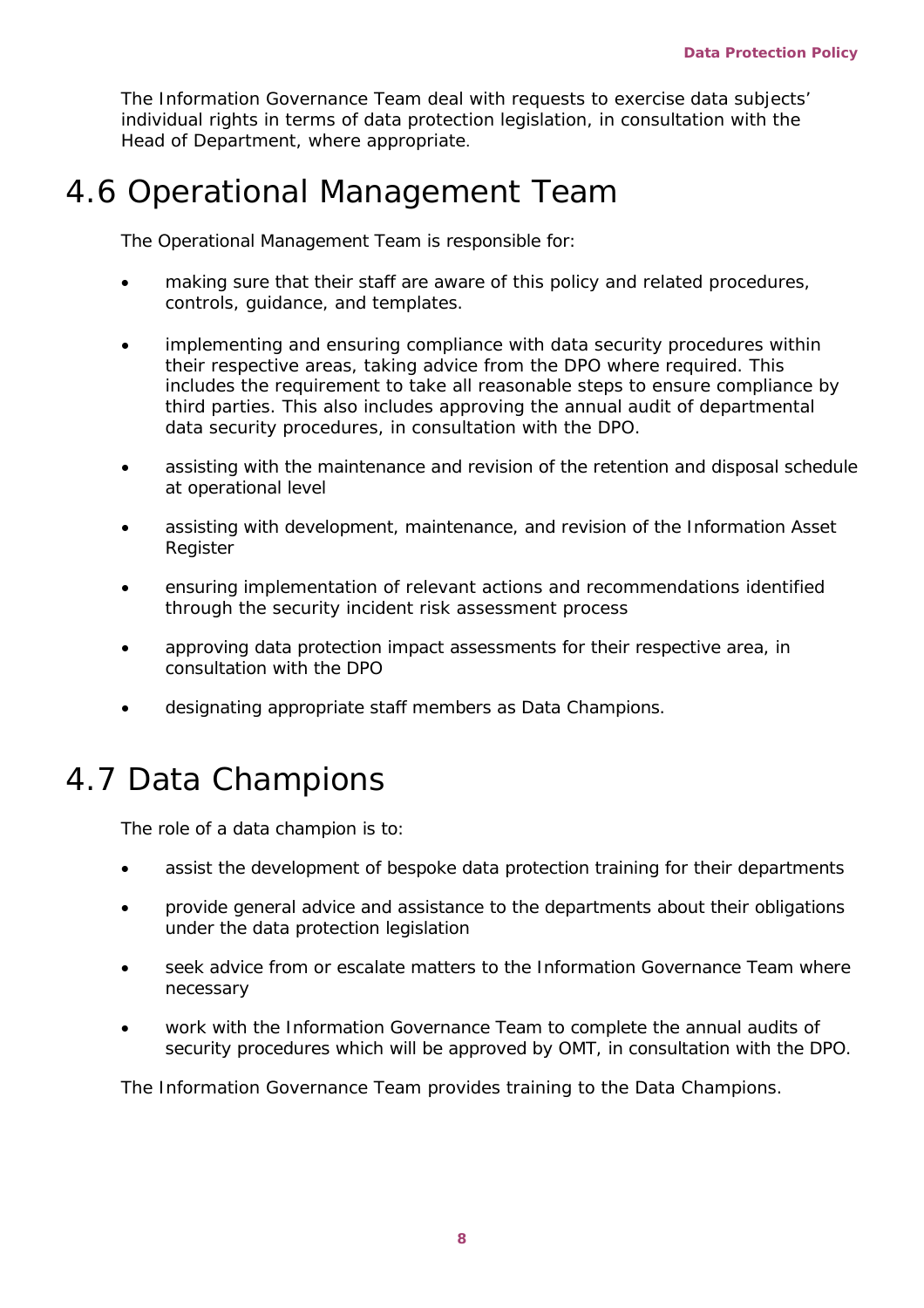The Information Governance Team deal with requests to exercise data subjects' individual rights in terms of data protection legislation, in consultation with the Head of Department, where appropriate.

### 4.6 Operational Management Team

The Operational Management Team is responsible for:

- making sure that their staff are aware of this policy and related procedures, controls, guidance, and templates.
- implementing and ensuring compliance with data security procedures within their respective areas, taking advice from the DPO where required. This includes the requirement to take all reasonable steps to ensure compliance by third parties. This also includes approving the annual audit of departmental data security procedures, in consultation with the DPO.
- assisting with the maintenance and revision of the retention and disposal schedule at operational level
- assisting with development, maintenance, and revision of the Information Asset Register
- ensuring implementation of relevant actions and recommendations identified through the security incident risk assessment process
- approving data protection impact assessments for their respective area, in consultation with the DPO
- designating appropriate staff members as Data Champions.

## 4.7 Data Champions

The role of a data champion is to:

- assist the development of bespoke data protection training for their departments
- provide general advice and assistance to the departments about their obligations under the data protection legislation
- seek advice from or escalate matters to the Information Governance Team where necessary
- work with the Information Governance Team to complete the annual audits of security procedures which will be approved by OMT, in consultation with the DPO.

The Information Governance Team provides training to the Data Champions.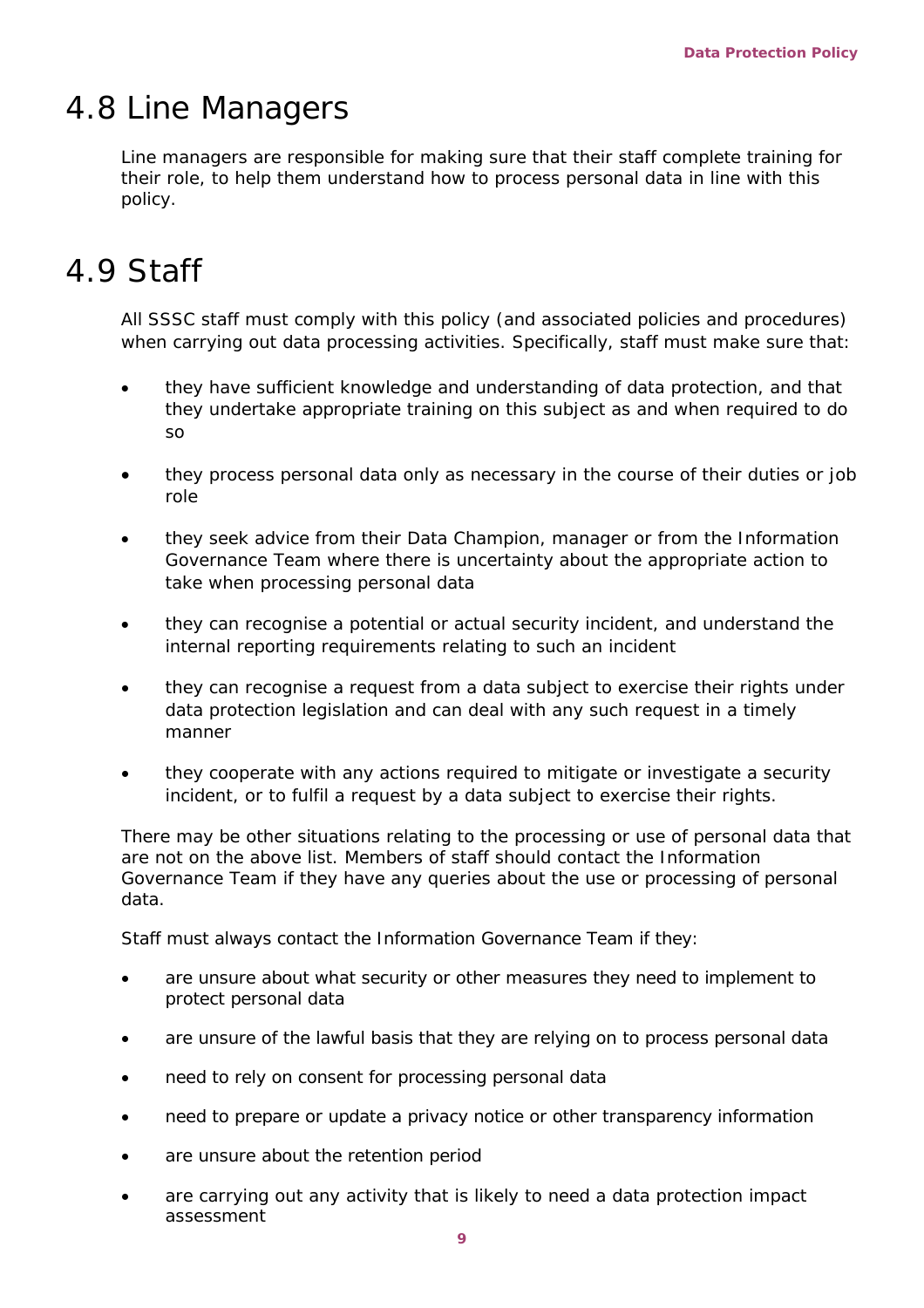### 4.8 Line Managers

Line managers are responsible for making sure that their staff complete training for their role, to help them understand how to process personal data in line with this policy.

## 4.9 Staff

All SSSC staff must comply with this policy (and associated policies and procedures) when carrying out data processing activities. Specifically, staff must make sure that:

- they have sufficient knowledge and understanding of data protection, and that they undertake appropriate training on this subject as and when required to do so
- they process personal data only as necessary in the course of their duties or job role
- they seek advice from their Data Champion, manager or from the Information Governance Team where there is uncertainty about the appropriate action to take when processing personal data
- they can recognise a potential or actual security incident, and understand the internal reporting requirements relating to such an incident
- they can recognise a request from a data subject to exercise their rights under data protection legislation and can deal with any such request in a timely manner
- they cooperate with any actions required to mitigate or investigate a security incident, or to fulfil a request by a data subject to exercise their rights.

There may be other situations relating to the processing or use of personal data that are not on the above list. Members of staff should contact the Information Governance Team if they have any queries about the use or processing of personal data.

Staff must always contact the Information Governance Team if they:

- are unsure about what security or other measures they need to implement to protect personal data
- are unsure of the lawful basis that they are relying on to process personal data
- need to rely on consent for processing personal data
- need to prepare or update a privacy notice or other transparency information
- are unsure about the retention period
- are carrying out any activity that is likely to need a data protection impact assessment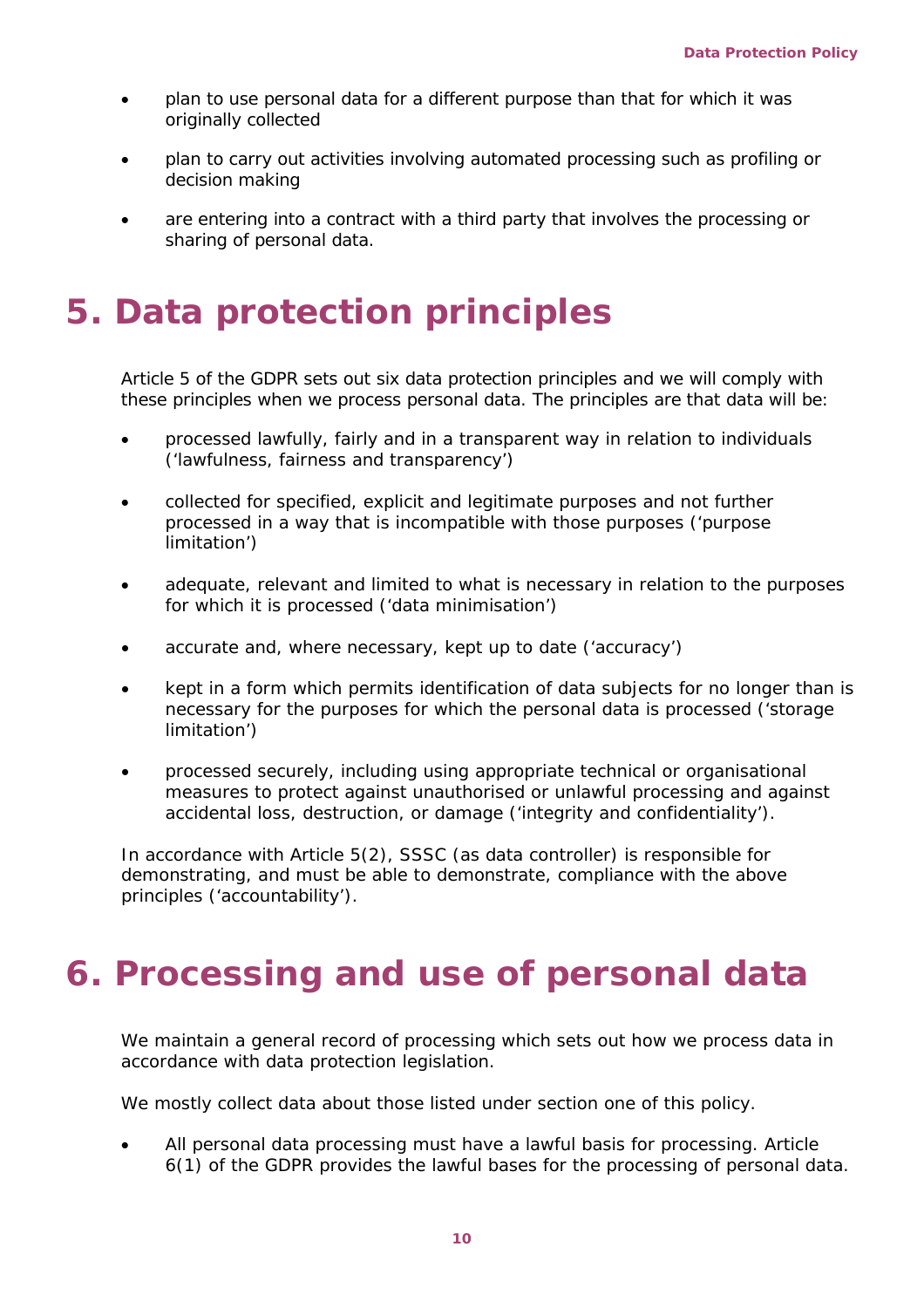- plan to use personal data for a different purpose than that for which it was originally collected
- plan to carry out activities involving automated processing such as profiling or decision making
- are entering into a contract with a third party that involves the processing or sharing of personal data.

## <span id="page-9-0"></span>**5. Data protection principles**

Article 5 of the GDPR sets out six data protection principles and we will comply with these principles when we process personal data. The principles are that data will be:

- processed lawfully, fairly and in a transparent way in relation to individuals ('lawfulness, fairness and transparency')
- collected for specified, explicit and legitimate purposes and not further processed in a way that is incompatible with those purposes ('purpose limitation')
- adequate, relevant and limited to what is necessary in relation to the purposes for which it is processed ('data minimisation')
- accurate and, where necessary, kept up to date ('accuracy')
- kept in a form which permits identification of data subjects for no longer than is necessary for the purposes for which the personal data is processed ('storage limitation')
- processed securely, including using appropriate technical or organisational measures to protect against unauthorised or unlawful processing and against accidental loss, destruction, or damage ('integrity and confidentiality').

In accordance with Article 5(2), SSSC (as data controller) is responsible for demonstrating, and must be able to demonstrate, compliance with the above principles ('accountability').

# <span id="page-9-1"></span>**6. Processing and use of personal data**

We maintain a general record of processing which sets out how we process data in accordance with data protection legislation.

We mostly collect data about those listed under section one of this policy.

• All personal data processing must have a lawful basis for processing. Article 6(1) of the GDPR provides the lawful bases for the processing of personal data.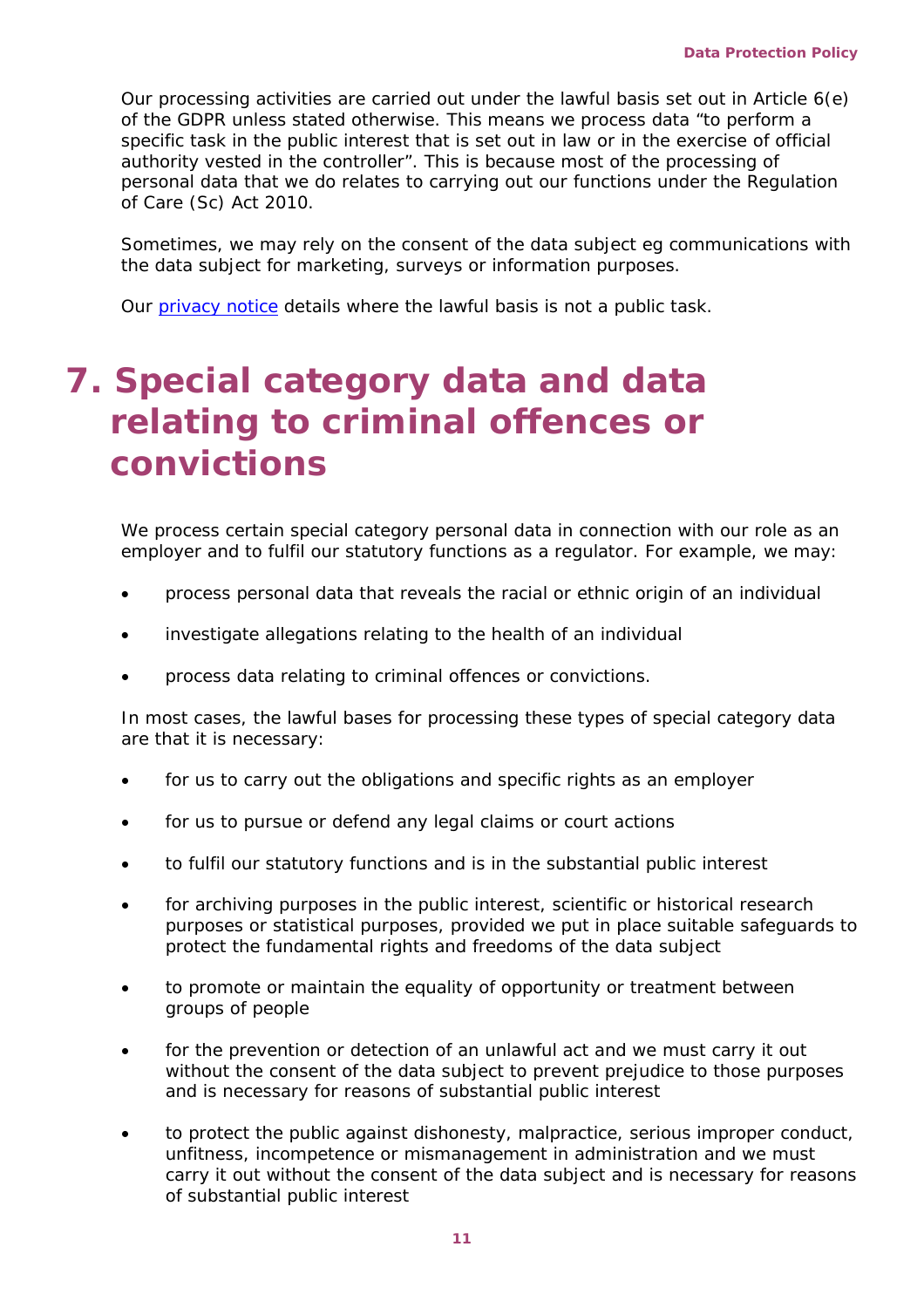Our processing activities are carried out under the lawful basis set out in Article 6(e) of the GDPR unless stated otherwise. This means we process data "to perform a specific task in the public interest that is set out in law or in the exercise of official authority vested in the controller". This is because most of the processing of personal data that we do relates to carrying out our functions under the Regulation of Care (Sc) Act 2010.

Sometimes, we may rely on the consent of the data subject eg communications with the data subject for marketing, surveys or information purposes.

Our [privacy notice](https://www.sssc.uk.com/knowledgebase/article/KA-02513/en-us) details where the lawful basis is not a public task.

# <span id="page-10-0"></span>**7. Special category data and data relating to criminal offences or convictions**

We process certain special category personal data in connection with our role as an employer and to fulfil our statutory functions as a regulator. For example, we may:

- process personal data that reveals the racial or ethnic origin of an individual
- investigate allegations relating to the health of an individual
- process data relating to criminal offences or convictions.

In most cases, the lawful bases for processing these types of special category data are that it is necessary:

- for us to carry out the obligations and specific rights as an employer
- for us to pursue or defend any legal claims or court actions
- to fulfil our statutory functions and is in the substantial public interest
- for archiving purposes in the public interest, scientific or historical research purposes or statistical purposes, provided we put in place suitable safeguards to protect the fundamental rights and freedoms of the data subject
- to promote or maintain the equality of opportunity or treatment between groups of people
- for the prevention or detection of an unlawful act and we must carry it out without the consent of the data subject to prevent prejudice to those purposes and is necessary for reasons of substantial public interest
- to protect the public against dishonesty, malpractice, serious improper conduct, unfitness, incompetence or mismanagement in administration and we must carry it out without the consent of the data subject and is necessary for reasons of substantial public interest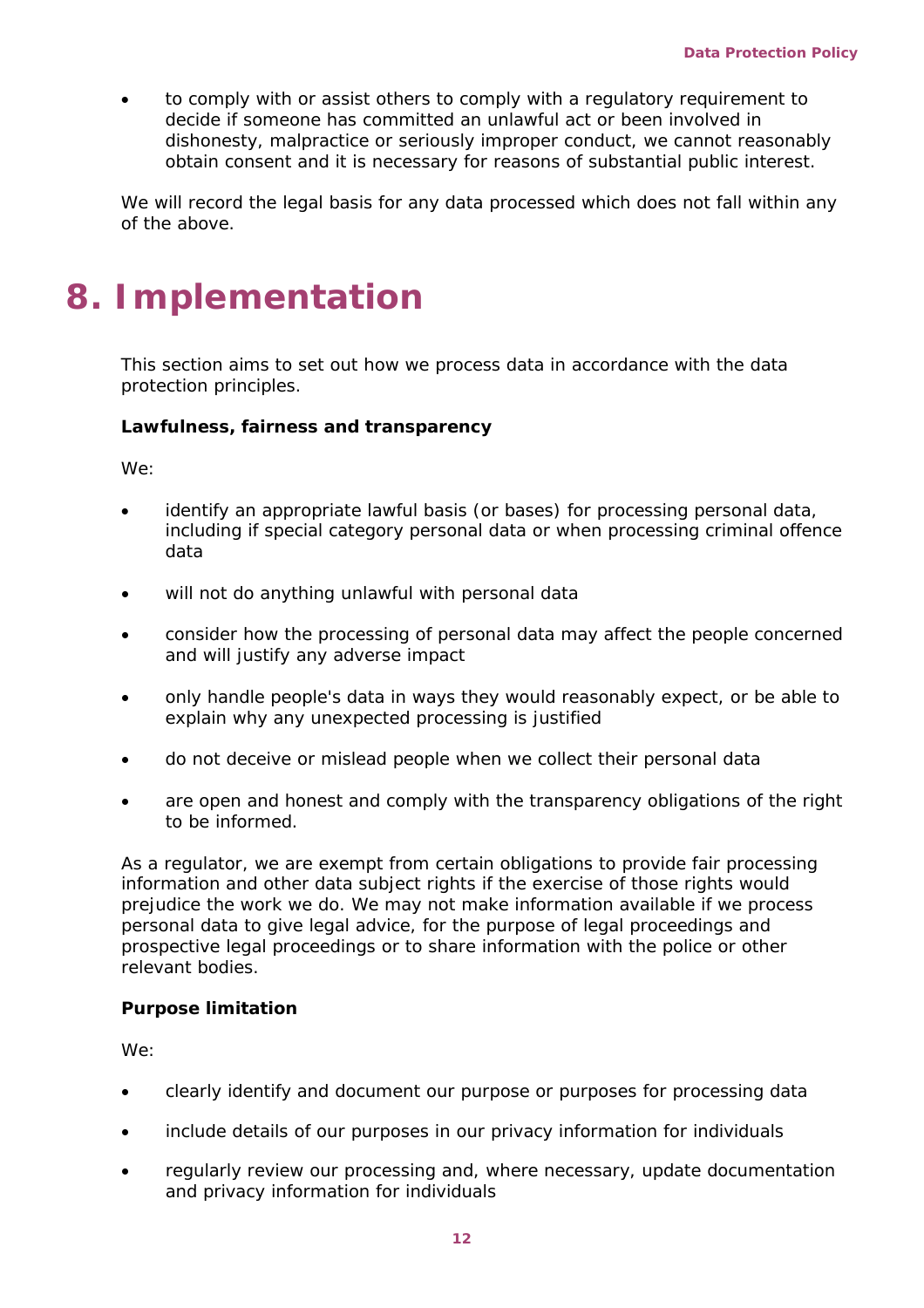• to comply with or assist others to comply with a regulatory requirement to decide if someone has committed an unlawful act or been involved in dishonesty, malpractice or seriously improper conduct, we cannot reasonably obtain consent and it is necessary for reasons of substantial public interest.

We will record the legal basis for any data processed which does not fall within any of the above.

# <span id="page-11-0"></span>**8. Implementation**

This section aims to set out how we process data in accordance with the data protection principles.

#### **Lawfulness, fairness and transparency**

We:

- identify an appropriate lawful basis (or bases) for processing personal data, including if special category personal data or when processing criminal offence data
- will not do anything unlawful with personal data
- consider how the processing of personal data may affect the people concerned and will justify any adverse impact
- only handle people's data in ways they would reasonably expect, or be able to explain why any unexpected processing is justified
- do not deceive or mislead people when we collect their personal data
- are open and honest and comply with the transparency obligations of the right to be informed.

As a regulator, we are exempt from certain obligations to provide fair processing information and other data subject rights if the exercise of those rights would prejudice the work we do. We may not make information available if we process personal data to give legal advice, for the purpose of legal proceedings and prospective legal proceedings or to share information with the police or other relevant bodies.

### **Purpose limitation**

We:

- clearly identify and document our purpose or purposes for processing data
- include details of our purposes in our privacy information for individuals
- regularly review our processing and, where necessary, update documentation and privacy information for individuals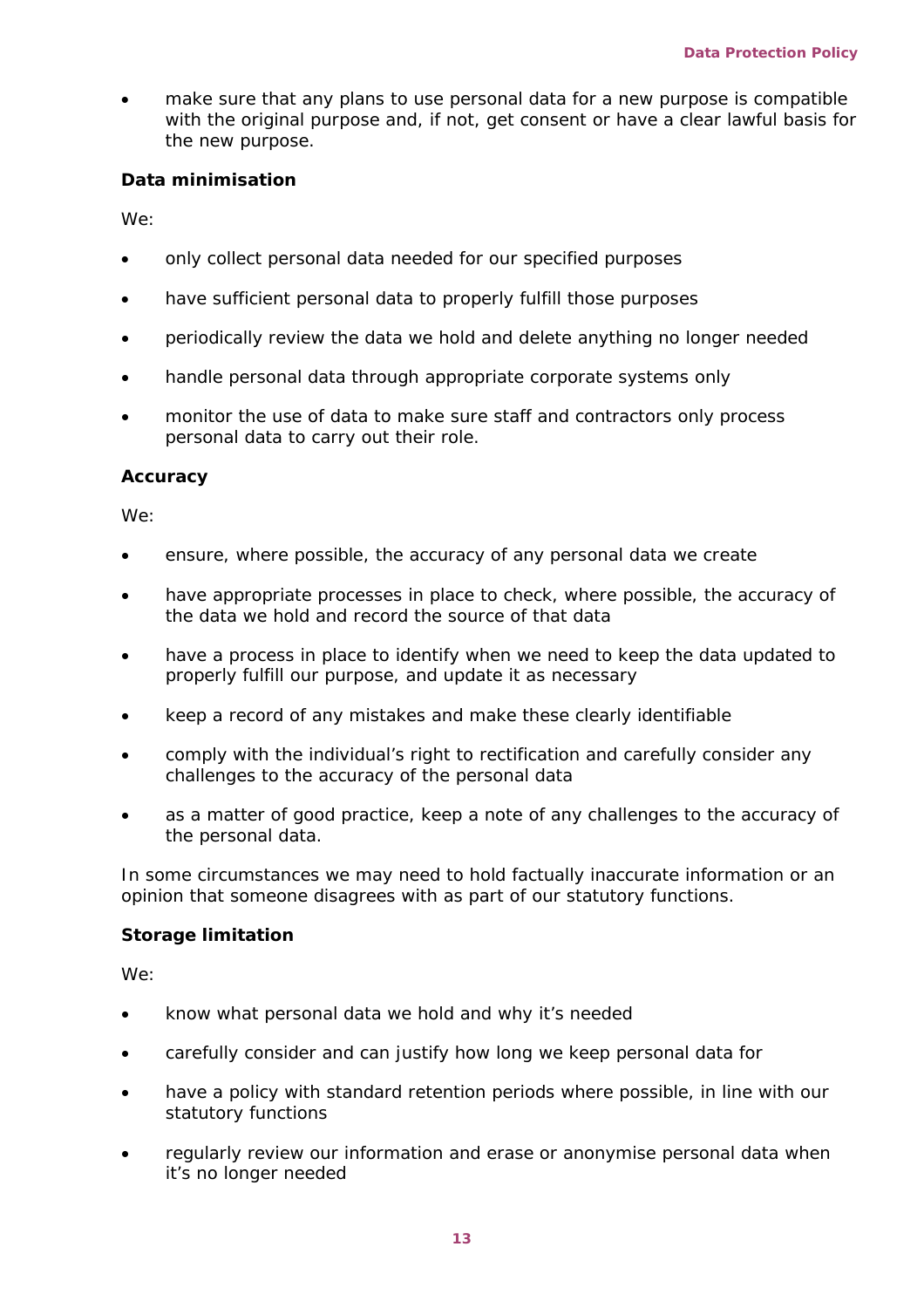• make sure that any plans to use personal data for a new purpose is compatible with the original purpose and, if not, get consent or have a clear lawful basis for the new purpose.

#### **Data minimisation**

We:

- only collect personal data needed for our specified purposes
- have sufficient personal data to properly fulfill those purposes
- periodically review the data we hold and delete anything no longer needed
- handle personal data through appropriate corporate systems only
- monitor the use of data to make sure staff and contractors only process personal data to carry out their role.

#### **Accuracy**

We:

- ensure, where possible, the accuracy of any personal data we create
- have appropriate processes in place to check, where possible, the accuracy of the data we hold and record the source of that data
- have a process in place to identify when we need to keep the data updated to properly fulfill our purpose, and update it as necessary
- keep a record of any mistakes and make these clearly identifiable
- comply with the individual's right to rectification and carefully consider any challenges to the accuracy of the personal data
- as a matter of good practice, keep a note of any challenges to the accuracy of the personal data.

In some circumstances we may need to hold factually inaccurate information or an opinion that someone disagrees with as part of our statutory functions.

### **Storage limitation**

We:

- know what personal data we hold and why it's needed
- carefully consider and can justify how long we keep personal data for
- have a policy with standard retention periods where possible, in line with our statutory functions
- regularly review our information and erase or anonymise personal data when it's no longer needed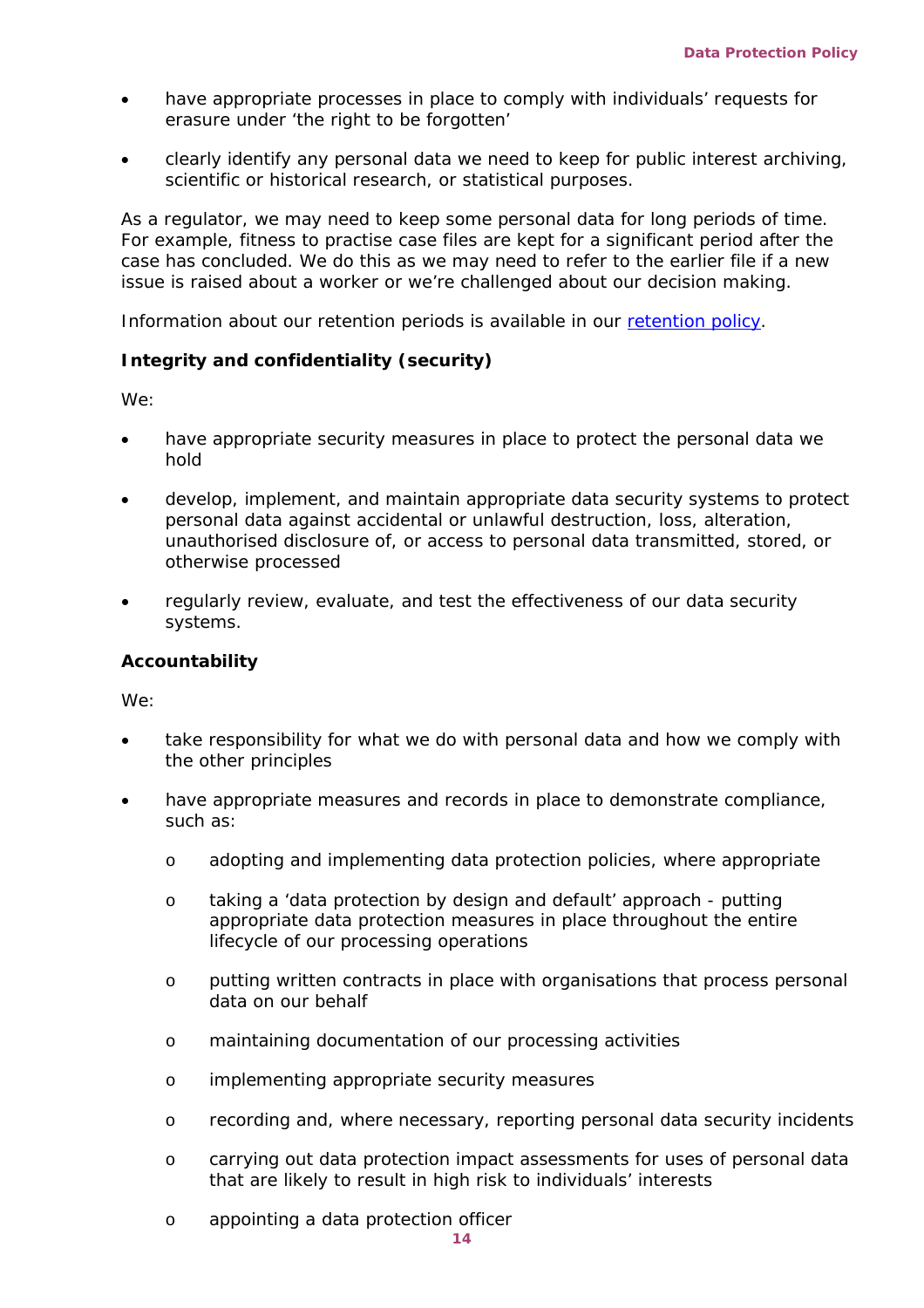- have appropriate processes in place to comply with individuals' requests for erasure under 'the right to be forgotten'
- clearly identify any personal data we need to keep for public interest archiving, scientific or historical research, or statistical purposes.

As a regulator, we may need to keep some personal data for long periods of time. For example, fitness to practise case files are kept for a significant period after the case has concluded. We do this as we may need to refer to the earlier file if a new issue is raised about a worker or we're challenged about our decision making.

Information about our retention periods is available in our retention policy.

#### **Integrity and confidentiality (security)**

We:

- have appropriate security measures in place to protect the personal data we hold
- develop, implement, and maintain appropriate data security systems to protect personal data against accidental or unlawful destruction, loss, alteration, unauthorised disclosure of, or access to personal data transmitted, stored, or otherwise processed
- regularly review, evaluate, and test the effectiveness of our data security systems.

#### **Accountability**

We:

- take responsibility for what we do with personal data and how we comply with the other principles
- have appropriate measures and records in place to demonstrate compliance, such as:
	- o adopting and implementing data protection policies, where appropriate
	- o taking a 'data protection by design and default' approach putting appropriate data protection measures in place throughout the entire lifecycle of our processing operations
	- o putting written contracts in place with organisations that process personal data on our behalf
	- o maintaining documentation of our processing activities
	- o implementing appropriate security measures
	- o recording and, where necessary, reporting personal data security incidents
	- o carrying out data protection impact assessments for uses of personal data that are likely to result in high risk to individuals' interests
	- o appointing a data protection officer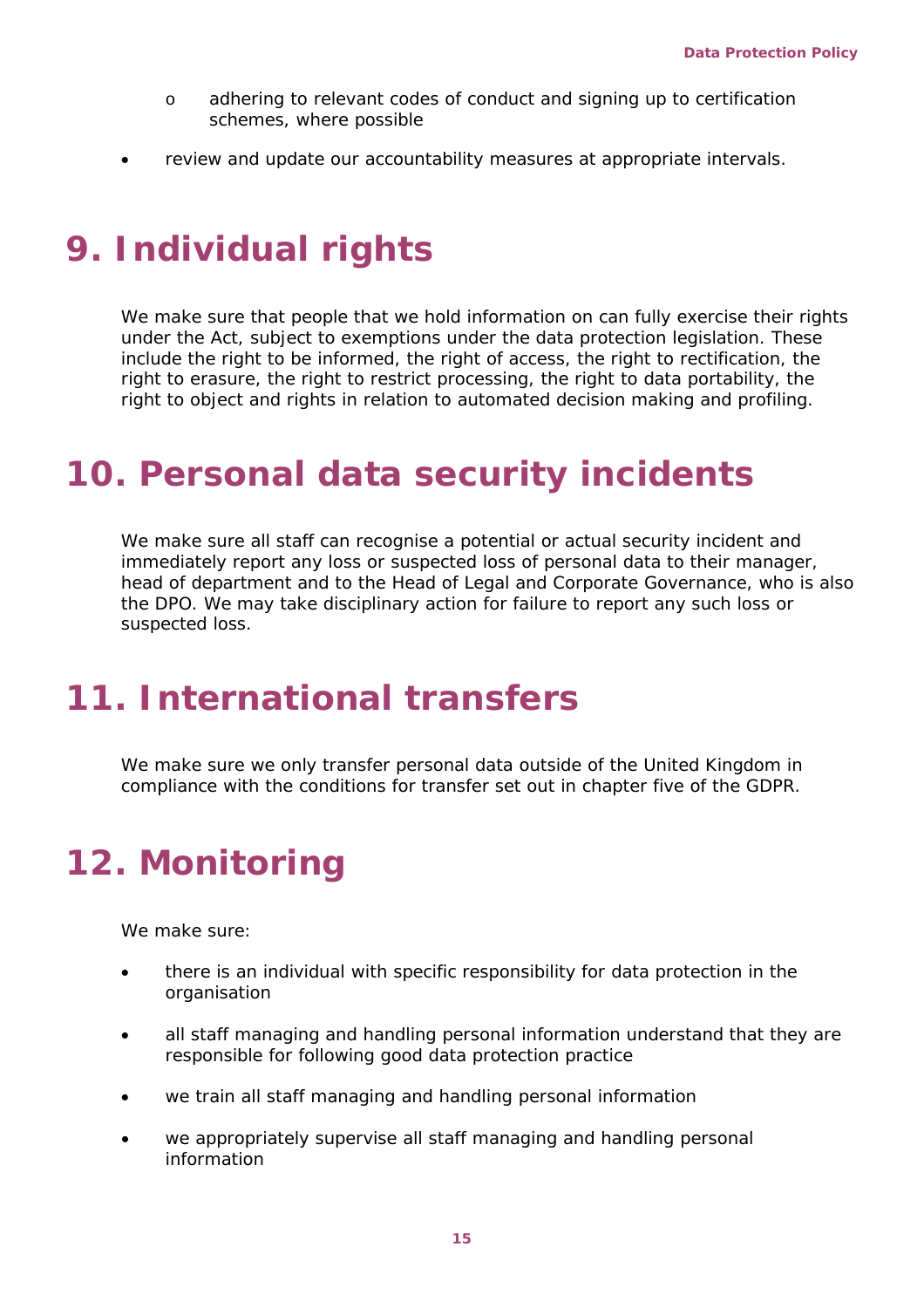- o adhering to relevant codes of conduct and signing up to certification schemes, where possible
- review and update our accountability measures at appropriate intervals.

## <span id="page-14-0"></span>**9. Individual rights**

We make sure that people that we hold information on can fully exercise their rights under the Act, subject to exemptions under the data protection legislation. These include the right to be informed, the right of access, the right to rectification, the right to erasure, the right to restrict processing, the right to data portability, the right to object and rights in relation to automated decision making and profiling.

### <span id="page-14-1"></span>**10. Personal data security incidents**

We make sure all staff can recognise a potential or actual security incident and immediately report any loss or suspected loss of personal data to their manager, head of department and to the Head of Legal and Corporate Governance, who is also the DPO. We may take disciplinary action for failure to report any such loss or suspected loss.

## <span id="page-14-2"></span>**11. International transfers**

We make sure we only transfer personal data outside of the United Kingdom in compliance with the conditions for transfer set out in chapter five of the GDPR.

# <span id="page-14-3"></span>**12. Monitoring**

We make sure:

- there is an individual with specific responsibility for data protection in the organisation
- all staff managing and handling personal information understand that they are responsible for following good data protection practice
- we train all staff managing and handling personal information
- we appropriately supervise all staff managing and handling personal information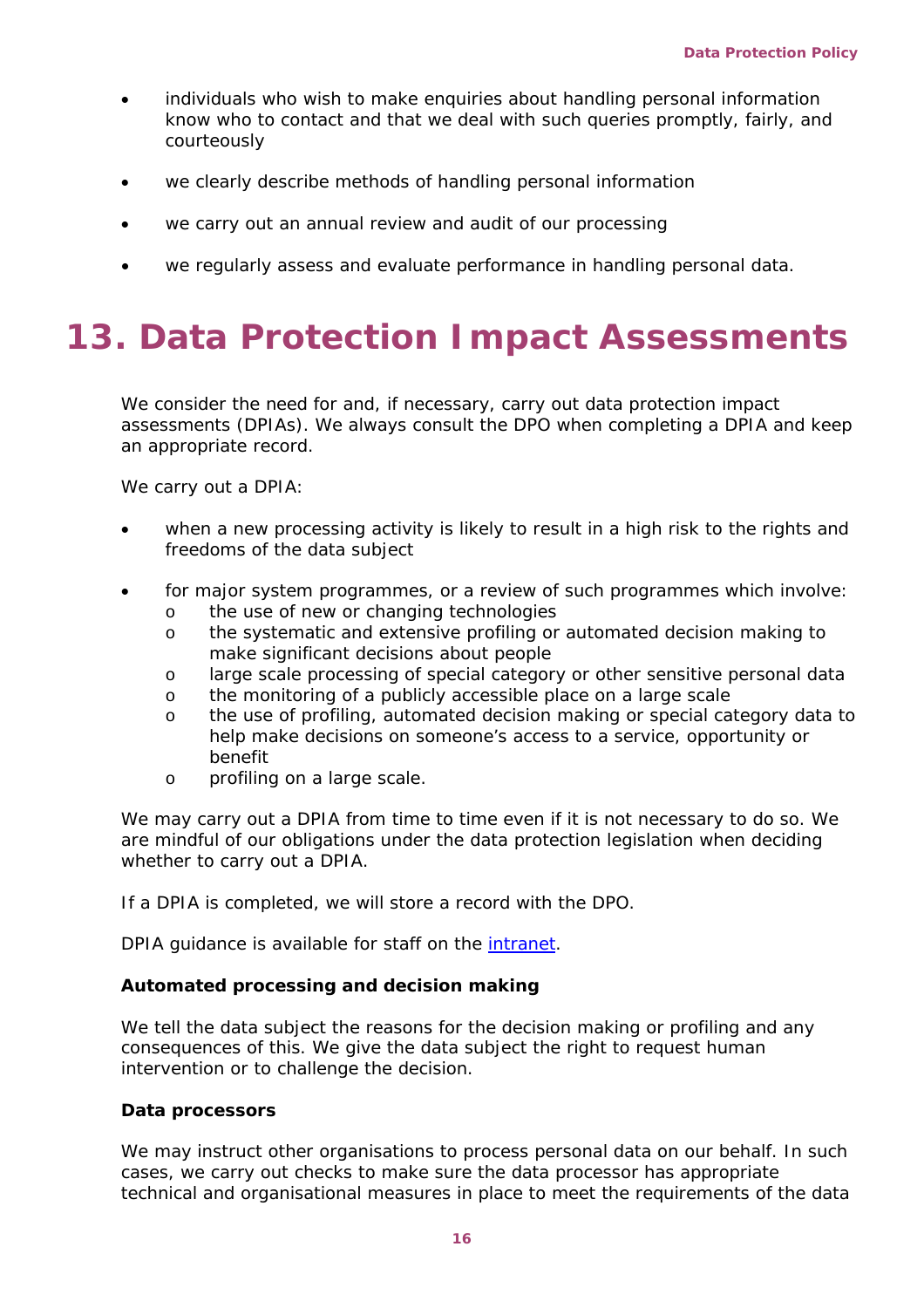- individuals who wish to make enquiries about handling personal information know who to contact and that we deal with such queries promptly, fairly, and courteously
- we clearly describe methods of handling personal information
- we carry out an annual review and audit of our processing
- we regularly assess and evaluate performance in handling personal data.

# <span id="page-15-0"></span>**13. Data Protection Impact Assessments**

We consider the need for and, if necessary, carry out data protection impact assessments (DPIAs). We always consult the DPO when completing a DPIA and keep an appropriate record.

We carry out a DPIA:

- when a new processing activity is likely to result in a high risk to the rights and freedoms of the data subject
- for major system programmes, or a review of such programmes which involve:
	- o the use of new or changing technologies<br>
	o the systematic and extensive profiling or
	- the systematic and extensive profiling or automated decision making to make significant decisions about people
	- o large scale processing of special category or other sensitive personal data
	- o the monitoring of a publicly accessible place on a large scale
	- o the use of profiling, automated decision making or special category data to help make decisions on someone's access to a service, opportunity or benefit
	- o profiling on a large scale.

We may carry out a DPIA from time to time even if it is not necessary to do so. We are mindful of our obligations under the data protection legislation when deciding whether to carry out a DPIA.

If a DPIA is completed, we will store a record with the DPO.

DPIA guidance is available for staff on the [intranet.](https://ssscdundee.sharepoint.com/:w:/r/sites/Intranet/_layouts/15/Doc.aspx?sourcedoc=%7B8D467421-4A92-4015-8ADC-18A75844E139%7D&file=DPIA%20Guidance.docx&action=default&mobileredirect=true&cid=01883053-32e2-4c4b-859c-81ea0a5126c5)

### **Automated processing and decision making**

We tell the data subject the reasons for the decision making or profiling and any consequences of this. We give the data subject the right to request human intervention or to challenge the decision.

#### **Data processors**

We may instruct other organisations to process personal data on our behalf. In such cases, we carry out checks to make sure the data processor has appropriate technical and organisational measures in place to meet the requirements of the data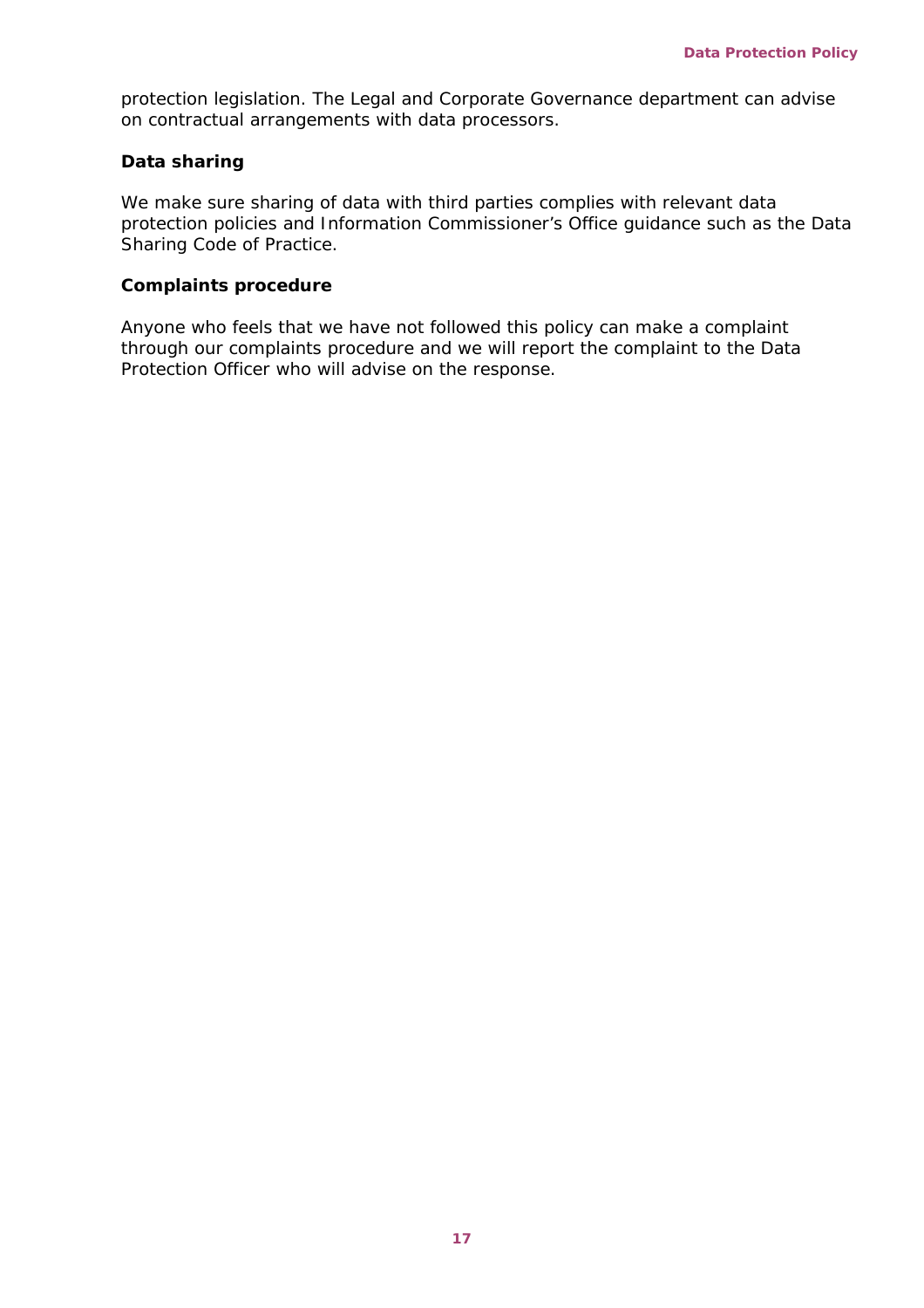protection legislation. The Legal and Corporate Governance department can advise on contractual arrangements with data processors.

#### **Data sharing**

We make sure sharing of data with third parties complies with relevant data protection policies and Information Commissioner's Office guidance such as the Data Sharing Code of Practice.

#### **Complaints procedure**

Anyone who feels that we have not followed this policy can make a complaint through our complaints procedure and we will report the complaint to the Data Protection Officer who will advise on the response.